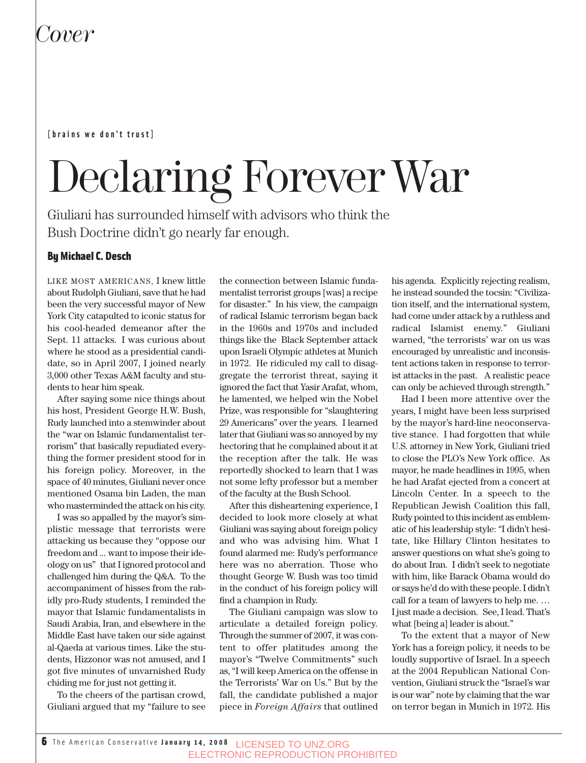#### **[brains we don't trust]**

# Declaring Forever War

Giuliani has surrounded himself with advisors who think the Bush Doctrine didn't go nearly far enough.

#### By Michael C. Desch

LIKE MOST AMERICANS, I knew little about Rudolph Giuliani, save that he had been the very successful mayor of New York City catapulted to iconic status for his cool-headed demeanor after the Sept. 11 attacks. I was curious about where he stood as a presidential candidate, so in April 2007, I joined nearly 3,000 other Texas A&M faculty and students to hear him speak.

After saying some nice things about his host, President George H.W. Bush, Rudy launched into a stemwinder about the "war on Islamic fundamentalist terrorism" that basically repudiated everything the former president stood for in his foreign policy. Moreover, in the space of 40 minutes, Giuliani never once mentioned Osama bin Laden, the man who masterminded the attack on his city.

I was so appalled by the mayor's simplistic message that terrorists were attacking us because they "oppose our freedom and ... want to impose their ideology on us" that I ignored protocol and challenged him during the Q&A. To the accompaniment of hisses from the rabidly pro-Rudy students, I reminded the mayor that Islamic fundamentalists in Saudi Arabia, Iran, and elsewhere in the Middle East have taken our side against al-Qaeda at various times. Like the students, Hizzonor was not amused, and I got five minutes of unvarnished Rudy chiding me for just not getting it.

To the cheers of the partisan crowd, Giuliani argued that my "failure to see the connection between Islamic fundamentalist terrorist groups [was] a recipe for disaster." In his view, the campaign of radical Islamic terrorism began back in the 1960s and 1970s and included things like the Black September attack upon Israeli Olympic athletes at Munich in 1972. He ridiculed my call to disaggregate the terrorist threat, saying it ignored the fact that Yasir Arafat, whom, he lamented, we helped win the Nobel Prize, was responsible for "slaughtering 29 Americans" over the years. I learned later that Giuliani was so annoyed by my hectoring that he complained about it at the reception after the talk. He was reportedly shocked to learn that I was not some lefty professor but a member of the faculty at the Bush School.

After this disheartening experience, I decided to look more closely at what Giuliani was saying about foreign policy and who was advising him. What I found alarmed me: Rudy's performance here was no aberration. Those who thought George W. Bush was too timid in the conduct of his foreign policy will find a champion in Rudy.

The Giuliani campaign was slow to articulate a detailed foreign policy. Through the summer of 2007, it was content to offer platitudes among the mayor's "Twelve Commitments" such as, "I will keep America on the offense in the Terrorists' War on Us." But by the fall, the candidate published a major piece in *Foreign Affairs* that outlined his agenda. Explicitly rejecting realism, he instead sounded the tocsin: "Civilization itself, and the international system, had come under attack by a ruthless and radical Islamist enemy." Giuliani warned, "the terrorists' war on us was encouraged by unrealistic and inconsistent actions taken in response to terrorist attacks in the past. A realistic peace can only be achieved through strength."

Had I been more attentive over the years, I might have been less surprised by the mayor's hard-line neoconservative stance. I had forgotten that while U.S. attorney in New York, Giuliani tried to close the PLO's New York office. As mayor, he made headlines in 1995, when he had Arafat ejected from a concert at Lincoln Center. In a speech to the Republican Jewish Coalition this fall, Rudy pointed to this incident as emblematic of his leadership style: "I didn't hesitate, like Hillary Clinton hesitates to answer questions on what she's going to do about Iran. I didn't seek to negotiate with him, like Barack Obama would do or says he'd do with these people. I didn't call for a team of lawyers to help me. … I just made a decision. See, I lead. That's what [being a] leader is about."

To the extent that a mayor of New York has a foreign policy, it needs to be loudly supportive of Israel. In a speech at the 2004 Republican National Convention, Giuliani struck the "Israel's war is our war" note by claiming that the war on terror began in Munich in 1972. His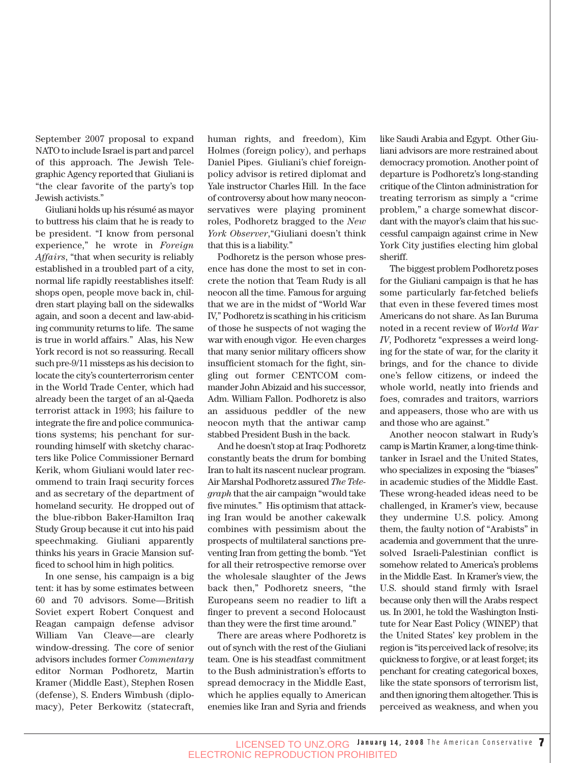September 2007 proposal to expand NATO to include Israel is part and parcel of this approach. The Jewish Telegraphic Agency reported that Giuliani is "the clear favorite of the party's top Jewish activists."

Giuliani holds up his résumé as mayor to buttress his claim that he is ready to be president. "I know from personal experience," he wrote in *Foreign Affairs*, "that when security is reliably established in a troubled part of a city, normal life rapidly reestablishes itself: shops open, people move back in, children start playing ball on the sidewalks again, and soon a decent and law-abiding community returns to life. The same is true in world affairs." Alas, his New York record is not so reassuring. Recall such pre-9/11 missteps as his decision to locate the city's counterterrorism center in the World Trade Center, which had already been the target of an al-Qaeda terrorist attack in 1993; his failure to integrate the fire and police communications systems; his penchant for surrounding himself with sketchy characters like Police Commissioner Bernard Kerik, whom Giuliani would later recommend to train Iraqi security forces and as secretary of the department of homeland security. He dropped out of the blue-ribbon Baker-Hamilton Iraq Study Group because it cut into his paid speechmaking. Giuliani apparently thinks his years in Gracie Mansion sufficed to school him in high politics.

In one sense, his campaign is a big tent: it has by some estimates between 60 and 70 advisors. Some—British Soviet expert Robert Conquest and Reagan campaign defense advisor William Van Cleave—are clearly window-dressing. The core of senior advisors includes former *Commentary* editor Norman Podhoretz, Martin Kramer (Middle East), Stephen Rosen (defense), S. Enders Wimbush (diplomacy), Peter Berkowitz (statecraft,

human rights, and freedom), Kim Holmes (foreign policy), and perhaps Daniel Pipes. Giuliani's chief foreignpolicy advisor is retired diplomat and Yale instructor Charles Hill. In the face of controversy about how many neoconservatives were playing prominent roles, Podhoretz bragged to the *New York Observer*,"Giuliani doesn't think that this is a liability."

Podhoretz is the person whose presence has done the most to set in concrete the notion that Team Rudy is all neocon all the time. Famous for arguing that we are in the midst of "World War IV," Podhoretz is scathing in his criticism of those he suspects of not waging the war with enough vigor. He even charges that many senior military officers show insufficient stomach for the fight, singling out former CENTCOM commander John Abizaid and his successor, Adm. William Fallon. Podhoretz is also an assiduous peddler of the new neocon myth that the antiwar camp stabbed President Bush in the back.

And he doesn't stop at Iraq: Podhoretz constantly beats the drum for bombing Iran to halt its nascent nuclear program. Air Marshal Podhoretz assured *The Telegraph* that the air campaign "would take five minutes." His optimism that attacking Iran would be another cakewalk combines with pessimism about the prospects of multilateral sanctions preventing Iran from getting the bomb. "Yet for all their retrospective remorse over the wholesale slaughter of the Jews back then," Podhoretz sneers, "the Europeans seem no readier to lift a finger to prevent a second Holocaust than they were the first time around."

There are areas where Podhoretz is out of synch with the rest of the Giuliani team. One is his steadfast commitment to the Bush administration's efforts to spread democracy in the Middle East, which he applies equally to American enemies like Iran and Syria and friends like Saudi Arabia and Egypt. Other Giuliani advisors are more restrained about democracy promotion. Another point of departure is Podhoretz's long-standing critique of the Clinton administration for treating terrorism as simply a "crime problem," a charge somewhat discordant with the mayor's claim that his successful campaign against crime in New York City justifies electing him global sheriff.

The biggest problem Podhoretz poses for the Giuliani campaign is that he has some particularly far-fetched beliefs that even in these fevered times most Americans do not share. As Ian Buruma noted in a recent review of *World War IV*, Podhoretz "expresses a weird longing for the state of war, for the clarity it brings, and for the chance to divide one's fellow citizens, or indeed the whole world, neatly into friends and foes, comrades and traitors, warriors and appeasers, those who are with us and those who are against."

Another neocon stalwart in Rudy's camp is Martin Kramer, a long-time thinktanker in Israel and the United States, who specializes in exposing the "biases" in academic studies of the Middle East. These wrong-headed ideas need to be challenged, in Kramer's view, because they undermine U.S. policy. Among them, the faulty notion of "Arabists" in academia and government that the unresolved Israeli-Palestinian conflict is somehow related to America's problems in the Middle East. In Kramer's view, the U.S. should stand firmly with Israel because only then will the Arabs respect us. In 2001, he told the Washington Institute for Near East Policy (WINEP) that the United States' key problem in the region is "its perceived lack of resolve; its quickness to forgive, or at least forget; its penchant for creating categorical boxes, like the state sponsors of terrorism list, and then ignoring them altogether. This is perceived as weakness, and when you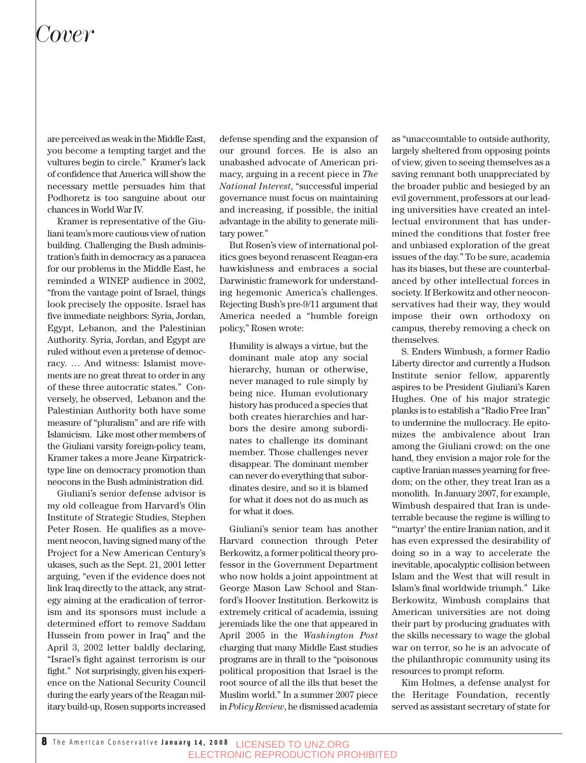are perceived as weak in the Middle East, you become a tempting target and the vultures begin to circle." Kramer's lack of confidence that America will show the necessary mettle persuades him that Podhoretz is too sanguine about our chances in World War IV.

Kramer is representative of the Giuliani team's more cautious view of nation building. Challenging the Bush administration's faith in democracy as a panacea for our problems in the Middle East, he reminded a WINEP audience in 2002, "from the vantage point of Israel, things look precisely the opposite. Israel has five immediate neighbors: Syria, Jordan, Egypt, Lebanon, and the Palestinian Authority. Syria, Jordan, and Egypt are ruled without even a pretense of democracy. … And witness: Islamist movements are no great threat to order in any of these three autocratic states." Conversely, he observed, Lebanon and the Palestinian Authority both have some measure of "pluralism" and are rife with Islamicism. Like most other members of the Giuliani varsity foreign-policy team, Kramer takes a more Jeane Kirpatricktype line on democracy promotion than neocons in the Bush administration did.

Giuliani's senior defense advisor is my old colleague from Harvard's Olin Institute of Strategic Studies, Stephen Peter Rosen. He qualifies as a movement neocon, having signed many of the Project for a New American Century's ukases, such as the Sept. 21, 2001 letter arguing, "even if the evidence does not link Iraq directly to the attack, any strategy aiming at the eradication of terrorism and its sponsors must include a determined effort to remove Saddam Hussein from power in Iraq" and the April 3, 2002 letter baldly declaring, "Israel's fight against terrorism is our fight." Not surprisingly, given his experience on the National Security Council during the early years of the Reagan military build-up, Rosen supports increased

defense spending and the expansion of our ground forces. He is also an unabashed advocate of American primacy, arguing in a recent piece in *The National Interest*, "successful imperial governance must focus on maintaining and increasing, if possible, the initial advantage in the ability to generate military power."

But Rosen's view of international politics goes beyond renascent Reagan-era hawkishness and embraces a social Darwinistic framework for understanding hegemonic America's challenges. Rejecting Bush's pre-9/11 argument that America needed a "humble foreign policy," Rosen wrote:

Humility is always a virtue, but the dominant male atop any social hierarchy, human or otherwise, never managed to rule simply by being nice. Human evolutionary history has produced a species that both creates hierarchies and harbors the desire among subordinates to challenge its dominant member. Those challenges never disappear. The dominant member can never do everything that subordinates desire, and so it is blamed for what it does not do as much as for what it does.

Giuliani's senior team has another Harvard connection through Peter Berkowitz, a former political theory professor in the Government Department who now holds a joint appointment at George Mason Law School and Stanford's Hoover Institution. Berkowitz is extremely critical of academia, issuing jeremiads like the one that appeared in April 2005 in the *Washington Post* charging that many Middle East studies programs are in thrall to the "poisonous political proposition that Israel is the root source of all the ills that beset the Muslim world." In a summer 2007 piece in *Policy Review*, he dismissed academia as "unaccountable to outside authority, largely sheltered from opposing points of view, given to seeing themselves as a saving remnant both unappreciated by the broader public and besieged by an evil government, professors at our leading universities have created an intellectual environment that has undermined the conditions that foster free and unbiased exploration of the great issues of the day." To be sure, academia has its biases, but these are counterbalanced by other intellectual forces in society. If Berkowitz and other neoconservatives had their way, they would impose their own orthodoxy on campus, thereby removing a check on themselves.

S. Enders Wimbush, a former Radio Liberty director and currently a Hudson Institute senior fellow, apparently aspires to be President Giuliani's Karen Hughes. One of his major strategic planks is to establish a "Radio Free Iran" to undermine the mullocracy. He epitomizes the ambivalence about Iran among the Giuliani crowd: on the one hand, they envision a major role for the captive Iranian masses yearning for freedom; on the other, they treat Iran as a monolith. In January 2007, for example, Wimbush despaired that Iran is undeterrable because the regime is willing to "'martyr' the entire Iranian nation, and it has even expressed the desirability of doing so in a way to accelerate the inevitable, apocalyptic collision between Islam and the West that will result in Islam's final worldwide triumph." Like Berkowitz, Wimbush complains that American universities are not doing their part by producing graduates with the skills necessary to wage the global war on terror, so he is an advocate of the philanthropic community using its resources to prompt reform.

Kim Holmes, a defense analyst for the Heritage Foundation, recently served as assistant secretary of state for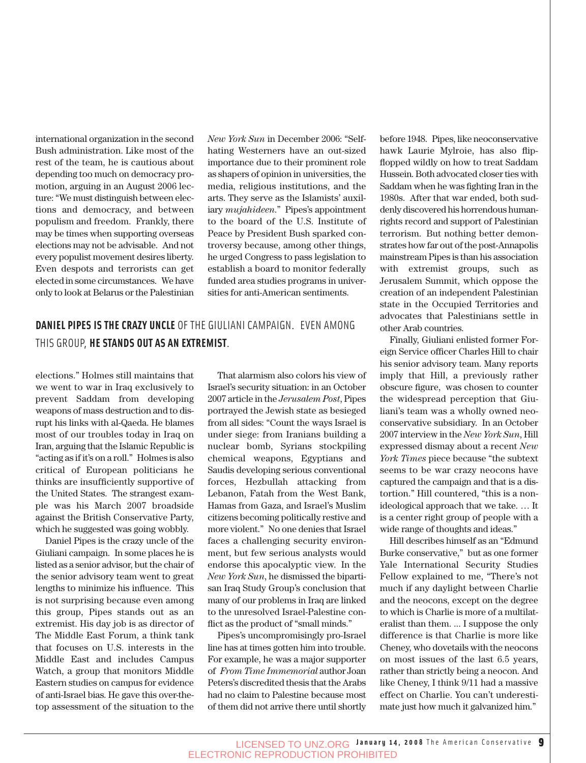international organization in the second Bush administration. Like most of the rest of the team, he is cautious about depending too much on democracy promotion, arguing in an August 2006 lecture: "We must distinguish between elections and democracy, and between populism and freedom. Frankly, there may be times when supporting overseas elections may not be advisable. And not every populist movement desires liberty. Even despots and terrorists can get elected in some circumstances. We have only to look at Belarus or the Palestinian

*New York Sun* in December 2006: "Selfhating Westerners have an out-sized importance due to their prominent role as shapers of opinion in universities, the media, religious institutions, and the arts. They serve as the Islamists' auxiliary *mujahideen*." Pipes's appointment to the board of the U.S. Institute of Peace by President Bush sparked controversy because, among other things, he urged Congress to pass legislation to establish a board to monitor federally funded area studies programs in universities for anti-American sentiments.

### **DANIEL PIPES IS THE CRAZY UNCLE** OF THE GIULIANI CAMPAIGN. EVEN AMONG THIS GROUP, **HE STANDS OUT AS AN EXTREMIST**.

elections." Holmes still maintains that we went to war in Iraq exclusively to prevent Saddam from developing weapons of mass destruction and to disrupt his links with al-Qaeda. He blames most of our troubles today in Iraq on Iran, arguing that the Islamic Republic is "acting as if it's on a roll." Holmes is also critical of European politicians he thinks are insufficiently supportive of the United States. The strangest example was his March 2007 broadside against the British Conservative Party, which he suggested was going wobbly.

Daniel Pipes is the crazy uncle of the Giuliani campaign. In some places he is listed as a senior advisor, but the chair of the senior advisory team went to great lengths to minimize his influence. This is not surprising because even among this group, Pipes stands out as an extremist. His day job is as director of The Middle East Forum, a think tank that focuses on U.S. interests in the Middle East and includes Campus Watch, a group that monitors Middle Eastern studies on campus for evidence of anti-Israel bias. He gave this over-thetop assessment of the situation to the

That alarmism also colors his view of Israel's security situation: in an October 2007 article in the *Jerusalem Post*, Pipes portrayed the Jewish state as besieged from all sides: "Count the ways Israel is under siege: from Iranians building a nuclear bomb, Syrians stockpiling chemical weapons, Egyptians and Saudis developing serious conventional forces, Hezbullah attacking from Lebanon, Fatah from the West Bank, Hamas from Gaza, and Israel's Muslim citizens becoming politically restive and more violent." No one denies that Israel faces a challenging security environment, but few serious analysts would endorse this apocalyptic view. In the *New York Sun*, he dismissed the bipartisan Iraq Study Group's conclusion that many of our problems in Iraq are linked to the unresolved Israel-Palestine conflict as the product of "small minds."

Pipes's uncompromisingly pro-Israel line has at times gotten him into trouble. For example, he was a major supporter of *From Time Immemorial* author Joan Peters's discredited thesis that the Arabs had no claim to Palestine because most of them did not arrive there until shortly before 1948. Pipes, like neoconservative hawk Laurie Mylroie, has also flipflopped wildly on how to treat Saddam Hussein. Both advocated closer ties with Saddam when he was fighting Iran in the 1980s. After that war ended, both suddenly discovered his horrendous humanrights record and support of Palestinian terrorism. But nothing better demonstrates how far out of the post-Annapolis mainstream Pipes is than his association with extremist groups, such as Jerusalem Summit, which oppose the creation of an independent Palestinian state in the Occupied Territories and advocates that Palestinians settle in other Arab countries.

Finally, Giuliani enlisted former Foreign Service officer Charles Hill to chair his senior advisory team. Many reports imply that Hill, a previously rather obscure figure, was chosen to counter the widespread perception that Giuliani's team was a wholly owned neoconservative subsidiary. In an October 2007 interview in the *New York Sun*, Hill expressed dismay about a recent *New York Times* piece because "the subtext seems to be war crazy neocons have captured the campaign and that is a distortion." Hill countered, "this is a nonideological approach that we take. … It is a center right group of people with a wide range of thoughts and ideas."

Hill describes himself as an "Edmund Burke conservative," but as one former Yale International Security Studies Fellow explained to me, "There's not much if any daylight between Charlie and the neocons, except on the degree to which is Charlie is more of a multilateralist than them. ... I suppose the only difference is that Charlie is more like Cheney, who dovetails with the neocons on most issues of the last 6.5 years, rather than strictly being a neocon. And like Cheney, I think 9/11 had a massive effect on Charlie. You can't underestimate just how much it galvanized him."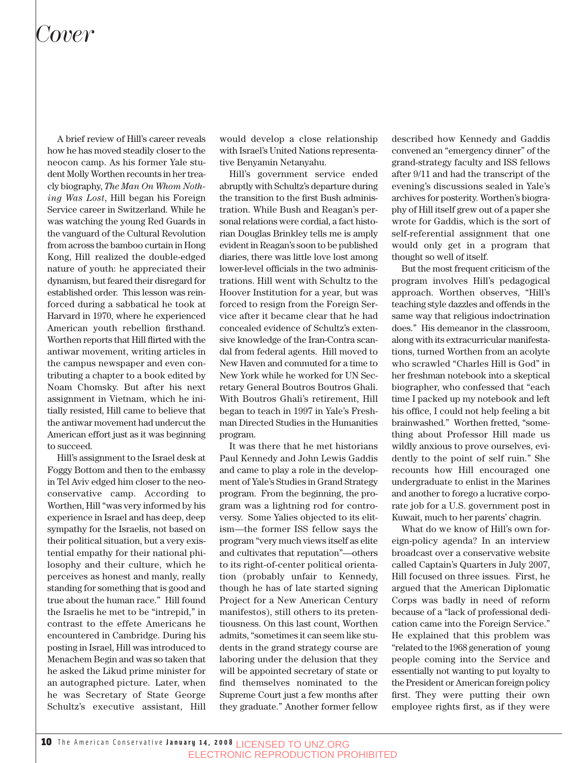A brief review of Hill's career reveals how he has moved steadily closer to the neocon camp. As his former Yale student Molly Worthen recounts in her treacly biography, *The Man On Whom Nothing Was Lost*, Hill began his Foreign Service career in Switzerland. While he was watching the young Red Guards in the vanguard of the Cultural Revolution from across the bamboo curtain in Hong Kong, Hill realized the double-edged nature of youth: he appreciated their dynamism, but feared their disregard for established order. This lesson was reinforced during a sabbatical he took at Harvard in 1970, where he experienced American youth rebellion firsthand. Worthen reports that Hill flirted with the antiwar movement, writing articles in the campus newspaper and even contributing a chapter to a book edited by Noam Chomsky. But after his next assignment in Vietnam, which he initially resisted, Hill came to believe that the antiwar movement had undercut the American effort just as it was beginning to succeed.

Hill's assignment to the Israel desk at Foggy Bottom and then to the embassy in Tel Aviv edged him closer to the neoconservative camp. According to Worthen, Hill "was very informed by his experience in Israel and has deep, deep sympathy for the Israelis, not based on their political situation, but a very existential empathy for their national philosophy and their culture, which he perceives as honest and manly, really standing for something that is good and true about the human race." Hill found the Israelis he met to be "intrepid," in contrast to the effete Americans he encountered in Cambridge. During his posting in Israel, Hill was introduced to Menachem Begin and was so taken that he asked the Likud prime minister for an autographed picture. Later, when he was Secretary of State George Schultz's executive assistant, Hill

would develop a close relationship with Israel's United Nations representative Benyamin Netanyahu.

Hill's government service ended abruptly with Schultz's departure during the transition to the first Bush administration. While Bush and Reagan's personal relations were cordial, a fact historian Douglas Brinkley tells me is amply evident in Reagan's soon to be published diaries, there was little love lost among lower-level officials in the two administrations. Hill went with Schultz to the Hoover Institution for a year, but was forced to resign from the Foreign Service after it became clear that he had concealed evidence of Schultz's extensive knowledge of the Iran-Contra scandal from federal agents. Hill moved to New Haven and commuted for a time to New York while he worked for UN Secretary General Boutros Boutros Ghali. With Boutros Ghali's retirement, Hill began to teach in 1997 in Yale's Freshman Directed Studies in the Humanities program.

It was there that he met historians Paul Kennedy and John Lewis Gaddis and came to play a role in the development of Yale's Studies in Grand Strategy program. From the beginning, the program was a lightning rod for controversy. Some Yalies objected to its elitism—the former ISS fellow says the program "very much views itself as elite and cultivates that reputation"—others to its right-of-center political orientation (probably unfair to Kennedy, though he has of late started signing Project for a New American Century manifestos), still others to its pretentiousness. On this last count, Worthen admits, "sometimes it can seem like students in the grand strategy course are laboring under the delusion that they will be appointed secretary of state or find themselves nominated to the Supreme Court just a few months after they graduate." Another former fellow described how Kennedy and Gaddis convened an "emergency dinner" of the grand-strategy faculty and ISS fellows after 9/11 and had the transcript of the evening's discussions sealed in Yale's archives for posterity. Worthen's biography of Hill itself grew out of a paper she wrote for Gaddis, which is the sort of self-referential assignment that one would only get in a program that thought so well of itself.

But the most frequent criticism of the program involves Hill's pedagogical approach. Worthen observes, "Hill's teaching style dazzles and offends in the same way that religious indoctrination does." His demeanor in the classroom, along with its extracurricular manifestations, turned Worthen from an acolyte who scrawled "Charles Hill is God" in her freshman notebook into a skeptical biographer, who confessed that "each time I packed up my notebook and left his office, I could not help feeling a bit brainwashed." Worthen fretted, "something about Professor Hill made us wildly anxious to prove ourselves, evidently to the point of self ruin." She recounts how Hill encouraged one undergraduate to enlist in the Marines and another to forego a lucrative corporate job for a U.S. government post in Kuwait, much to her parents' chagrin.

What do we know of Hill's own foreign-policy agenda? In an interview broadcast over a conservative website called Captain's Quarters in July 2007, Hill focused on three issues. First, he argued that the American Diplomatic Corps was badly in need of reform because of a "lack of professional dedication came into the Foreign Service." He explained that this problem was "related to the 1968 generation of young people coming into the Service and essentially not wanting to put loyalty to the President or American foreign policy first. They were putting their own employee rights first, as if they were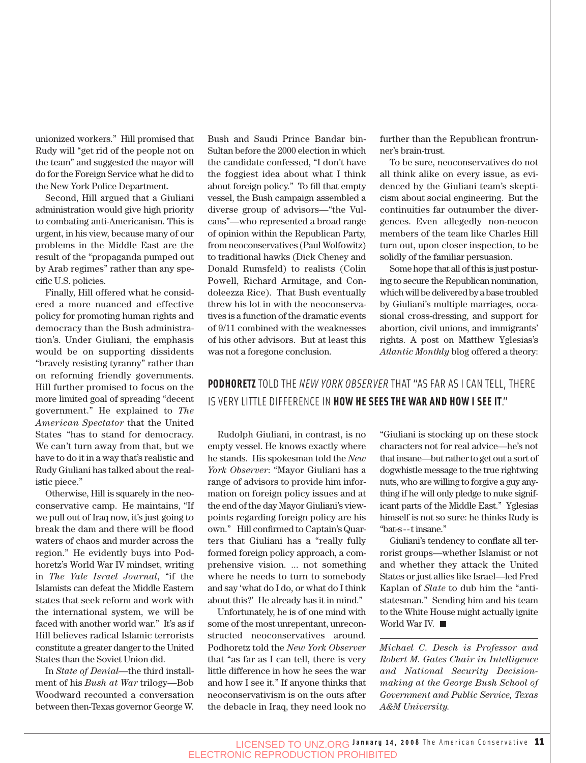unionized workers." Hill promised that Rudy will "get rid of the people not on the team" and suggested the mayor will do for the Foreign Service what he did to the New York Police Department.

Second, Hill argued that a Giuliani administration would give high priority to combating anti-Americanism. This is urgent, in his view, because many of our problems in the Middle East are the result of the "propaganda pumped out by Arab regimes" rather than any specific U.S. policies.

Finally, Hill offered what he considered a more nuanced and effective policy for promoting human rights and democracy than the Bush administration's. Under Giuliani, the emphasis would be on supporting dissidents "bravely resisting tyranny" rather than on reforming friendly governments. Hill further promised to focus on the more limited goal of spreading "decent government." He explained to *The American Spectator* that the United States "has to stand for democracy. We can't turn away from that, but we have to do it in a way that's realistic and Rudy Giuliani has talked about the realistic piece."

Otherwise, Hill is squarely in the neoconservative camp. He maintains, "If we pull out of Iraq now, it's just going to break the dam and there will be flood waters of chaos and murder across the region." He evidently buys into Podhoretz's World War IV mindset, writing in *The Yale Israel Journal*, "if the Islamists can defeat the Middle Eastern states that seek reform and work with the international system, we will be faced with another world war." It's as if Hill believes radical Islamic terrorists constitute a greater danger to the United States than the Soviet Union did.

In *State of Denial*—the third installment of his *Bush at War* trilogy—Bob Woodward recounted a conversation between then-Texas governor George W. Bush and Saudi Prince Bandar bin-Sultan before the 2000 election in which the candidate confessed, "I don't have the foggiest idea about what I think about foreign policy." To fill that empty vessel, the Bush campaign assembled a diverse group of advisors—"the Vulcans"—who represented a broad range of opinion within the Republican Party, from neoconservatives (Paul Wolfowitz) to traditional hawks (Dick Cheney and Donald Rumsfeld) to realists (Colin Powell, Richard Armitage, and Condoleezza Rice). That Bush eventually threw his lot in with the neoconservatives is a function of the dramatic events of 9/11 combined with the weaknesses of his other advisors. But at least this was not a foregone conclusion.

further than the Republican frontrunner's brain-trust.

To be sure, neoconservatives do not all think alike on every issue, as evidenced by the Giuliani team's skepticism about social engineering. But the continuities far outnumber the divergences. Even allegedly non-neocon members of the team like Charles Hill turn out, upon closer inspection, to be solidly of the familiar persuasion.

Some hope that all of this is just posturing to secure the Republican nomination, which will be delivered by a base troubled by Giuliani's multiple marriages, occasional cross-dressing, and support for abortion, civil unions, and immigrants' rights. A post on Matthew Yglesias's *Atlantic Monthly* blog offered a theory:

### **PODHORETZ** TOLD THE *NEW YORK OBSERVER* THAT "AS FAR AS I CAN TELL, THERE IS VERY LITTLE DIFFERENCE IN **HOW HE SEES THE WAR AND HOW I SEE IT**."

Rudolph Giuliani, in contrast, is no empty vessel. He knows exactly where he stands. His spokesman told the *New York Observer*: "Mayor Giuliani has a range of advisors to provide him information on foreign policy issues and at the end of the day Mayor Giuliani's viewpoints regarding foreign policy are his own." Hill confirmed to Captain's Quarters that Giuliani has a "really fully formed foreign policy approach, a comprehensive vision. ... not something where he needs to turn to somebody and say 'what do I do, or what do I think about this?' He already has it in mind."

Unfortunately, he is of one mind with some of the most unrepentant, unreconstructed neoconservatives around. Podhoretz told the *New York Observer* that "as far as I can tell, there is very little difference in how he sees the war and how I see it." If anyone thinks that neoconservativism is on the outs after the debacle in Iraq, they need look no "Giuliani is stocking up on these stock characters not for real advice—he's not that insane—but rather to get out a sort of dogwhistle message to the true rightwing nuts, who are willing to forgive a guy anything if he will only pledge to nuke significant parts of the Middle East." Yglesias himself is not so sure: he thinks Rudy is "bat-s - - t insane."

Giuliani's tendency to conflate all terrorist groups—whether Islamist or not and whether they attack the United States or just allies like Israel—led Fred Kaplan of *Slate* to dub him the "antistatesman." Sending him and his team to the White House might actually ignite World War IV.

*Michael C. Desch is Professor and Robert M. Gates Chair in Intelligence and National Security Decisionmaking at the George Bush School of Government and Public Service, Texas A&M University.*